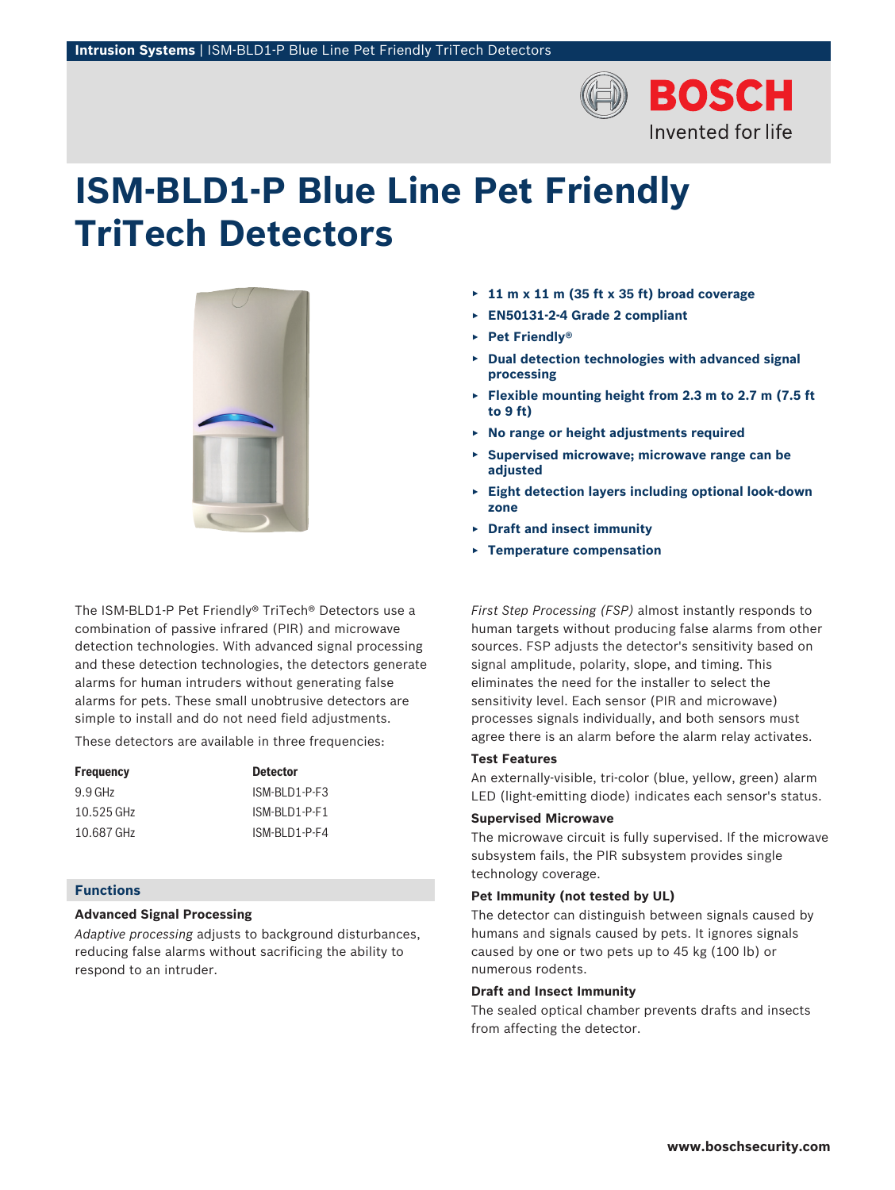

# **ISM‑BLD1‑P Blue Line Pet Friendly TriTech Detectors**



The ISM-BLD1-P Pet Friendly® TriTech® Detectors use a combination of passive infrared (PIR) and microwave detection technologies. With advanced signal processing and these detection technologies, the detectors generate alarms for human intruders without generating false alarms for pets. These small unobtrusive detectors are simple to install and do not need field adjustments.

These detectors are available in three frequencies:

| Frequency  | <b>Detector</b> |
|------------|-----------------|
| 9.9 GHz    | ISM-BI D1-P-F3  |
| 10.525 GHz | ISM-BI D1-P-F1  |
| 10.687 GHz | ISM-BI D1-P-F4  |

# **Functions**

# **Advanced Signal Processing**

*Adaptive processing* adjusts to background disturbances, reducing false alarms without sacrificing the ability to respond to an intruder.

- ▶ **11 m x 11 m (35 ft x 35 ft) broad coverage**
- ▶ **EN50131-2-4 Grade 2 compliant**
- ▶ **Pet Friendly®**
- ▶ **Dual detection technologies with advanced signal processing**
- ▶ **Flexible mounting height from 2.3 m to 2.7 m (7.5 ft to 9 ft)**
- ▶ **No range or height adjustments required**
- ▶ **Supervised microwave; microwave range can be adjusted**
- ▶ **Eight detection layers including optional look-down zone**
- ▶ **Draft and insect immunity**
- ▶ **Temperature compensation**

*First Step Processing (FSP)* almost instantly responds to human targets without producing false alarms from other sources. FSP adjusts the detector's sensitivity based on signal amplitude, polarity, slope, and timing. This eliminates the need for the installer to select the sensitivity level. Each sensor (PIR and microwave) processes signals individually, and both sensors must agree there is an alarm before the alarm relay activates.

#### **Test Features**

An externally-visible, tri-color (blue, yellow, green) alarm LED (light-emitting diode) indicates each sensor's status.

# **Supervised Microwave**

The microwave circuit is fully supervised. If the microwave subsystem fails, the PIR subsystem provides single technology coverage.

#### **Pet Immunity (not tested by UL)**

The detector can distinguish between signals caused by humans and signals caused by pets. It ignores signals caused by one or two pets up to 45 kg (100 lb) or numerous rodents.

# **Draft and Insect Immunity**

The sealed optical chamber prevents drafts and insects from affecting the detector.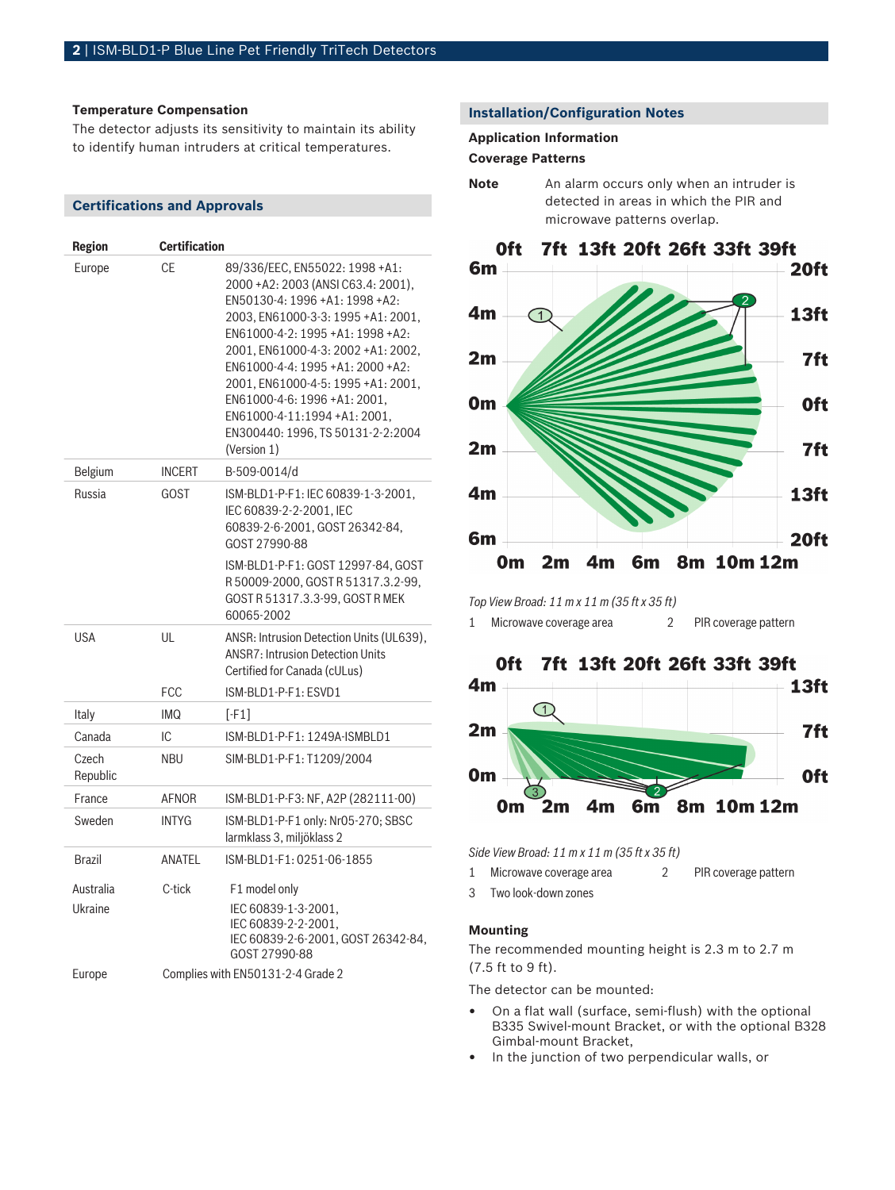#### **Temperature Compensation**

The detector adjusts its sensitivity to maintain its ability to identify human intruders at critical temperatures.

# **Certifications and Approvals**

| <b>Region</b>        | <b>Certification</b> |                                                                                                                                                                                                                                                                                                                                                                                                                       |
|----------------------|----------------------|-----------------------------------------------------------------------------------------------------------------------------------------------------------------------------------------------------------------------------------------------------------------------------------------------------------------------------------------------------------------------------------------------------------------------|
| Europe               | СE                   | 89/336/EEC, EN55022: 1998 +A1:<br>2000 + A2: 2003 (ANSI C63.4: 2001),<br>EN50130-4: 1996 +A1: 1998 +A2:<br>2003, EN61000-3-3: 1995 +A1: 2001,<br>EN61000-4-2: 1995 +A1: 1998 +A2:<br>2001, EN61000-4-3: 2002 +A1: 2002,<br>EN61000-4-4: 1995 +A1: 2000 +A2:<br>2001. EN61000-4-5: 1995 +A1: 2001.<br>EN61000-4-6: 1996 +A1: 2001,<br>EN61000-4-11:1994 +A1: 2001,<br>EN300440: 1996, TS 50131-2-2:2004<br>(Version 1) |
| Belgium              | <b>INCERT</b>        | B-509-0014/d                                                                                                                                                                                                                                                                                                                                                                                                          |
| Russia               | <b>GOST</b>          | ISM-BLD1-P-F1: IEC 60839-1-3-2001,<br>IEC 60839-2-2-2001. IEC<br>60839-2-6-2001, GOST 26342-84,<br>GOST 27990-88                                                                                                                                                                                                                                                                                                      |
|                      |                      | ISM-BLD1-P-F1: GOST 12997-84, GOST<br>R50009-2000, GOSTR51317.3.2-99,<br>GOST R 51317.3.3-99, GOST R MEK<br>60065-2002                                                                                                                                                                                                                                                                                                |
| <b>USA</b>           | UL<br><b>FCC</b>     | ANSR: Intrusion Detection Units (UL639),<br><b>ANSR7: Intrusion Detection Units</b><br>Certified for Canada (cULus)<br>ISM-BLD1-P-F1: ESVD1                                                                                                                                                                                                                                                                           |
| Italy                | <b>IMQ</b>           | $[-F1]$                                                                                                                                                                                                                                                                                                                                                                                                               |
| Canada               | IС                   | ISM-BLD1-P-F1: 1249A-ISMBLD1                                                                                                                                                                                                                                                                                                                                                                                          |
| Czech<br>Republic    | <b>NBU</b>           | SIM-BLD1-P-F1: T1209/2004                                                                                                                                                                                                                                                                                                                                                                                             |
| France               | <b>AFNOR</b>         | ISM-BLD1-P-F3: NF, A2P (282111-00)                                                                                                                                                                                                                                                                                                                                                                                    |
| Sweden               | <b>INTYG</b>         | ISM-BLD1-P-F1 only: Nr05-270; SBSC<br>larmklass 3, miljöklass 2                                                                                                                                                                                                                                                                                                                                                       |
| <b>Brazil</b>        | ANATEL               | ISM-BLD1-F1: 0251-06-1855                                                                                                                                                                                                                                                                                                                                                                                             |
| Australia<br>Ukraine | C-tick               | F1 model only<br>IEC 60839-1-3-2001,<br>IEC 60839-2-2-2001,<br>IEC 60839-2-6-2001, GOST 26342-84,<br>GOST 27990-88                                                                                                                                                                                                                                                                                                    |
| Europe               |                      | Complies with EN50131-2-4 Grade 2                                                                                                                                                                                                                                                                                                                                                                                     |

# **Installation/Configuration Notes**

#### **Application Information**

#### **Coverage Patterns**

**Note** An alarm occurs only when an intruder is detected in areas in which the PIR and microwave patterns overlap.



*Top View Broad: 11 m x 11 m (35 ft x 35 ft)*

1 Microwave coverage area 2 PIR coverage pattern



*Side View Broad: 11 m x 11 m (35 ft x 35 ft)*

| Microwave coverage area |  |  | PIR coverage pattern |
|-------------------------|--|--|----------------------|
|-------------------------|--|--|----------------------|

3 Two look-down zones

# **Mounting**

The recommended mounting height is 2.3 m to 2.7 m (7.5 ft to 9 ft).

The detector can be mounted:

- On a flat wall (surface, semi-flush) with the optional B335 Swivel-mount Bracket, or with the optional B328 Gimbal-mount Bracket,
- In the junction of two perpendicular walls, or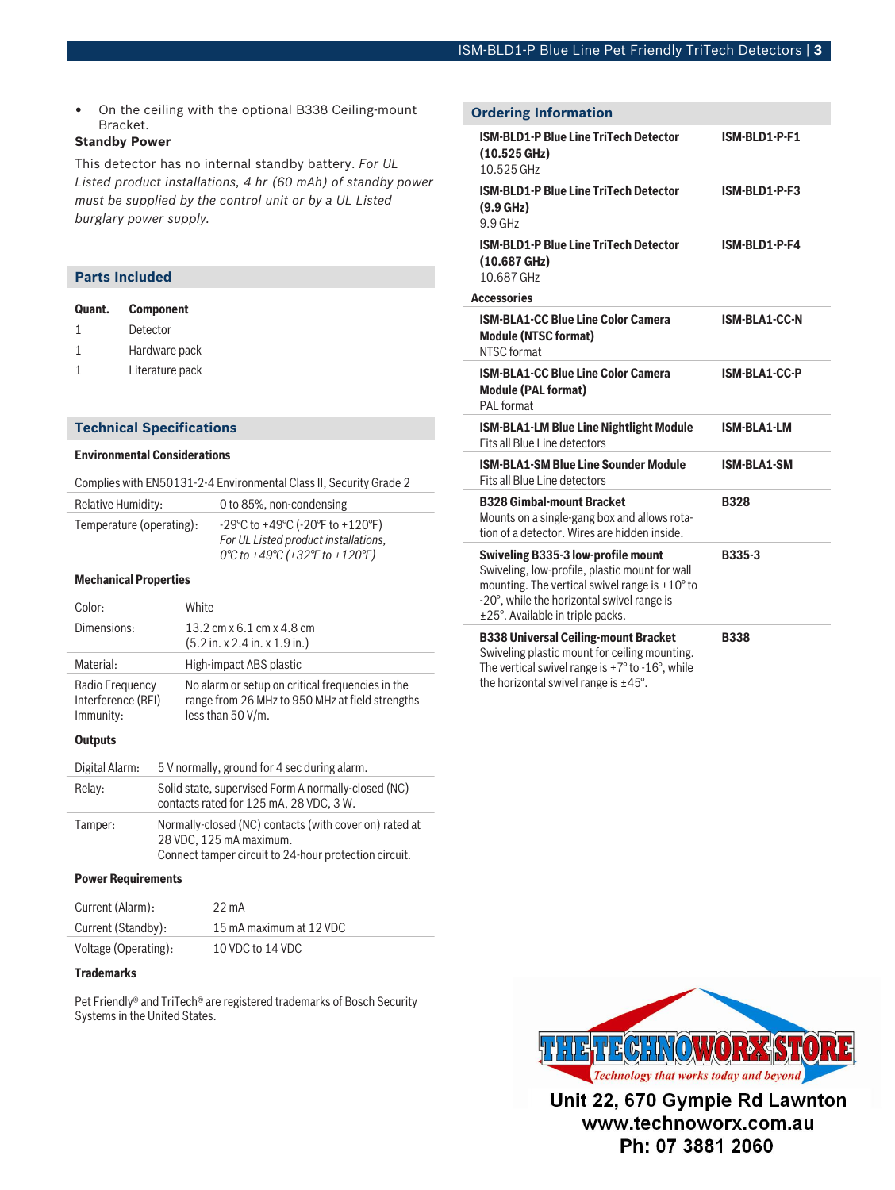• On the ceiling with the optional B338 Ceiling-mount Bracket.

# **Standby Power**

This detector has no internal standby battery. *For UL Listed product installations, 4 hr (60 mAh) of standby power must be supplied by the control unit or by a UL Listed burglary power supply.*

# **Parts Included**

| Quant. | <b>Component</b> |
|--------|------------------|
| 1      | Detector         |
| 1      | Hardware pack    |
| 1      | Literature pack  |

#### **Technical Specifications**

## **Environmental Considerations**

|  | Complies with EN50131-2-4 Environmental Class II, Security Grade 2 |  |
|--|--------------------------------------------------------------------|--|
|  |                                                                    |  |

| <b>Relative Humidity:</b> | 0 to 85%, non-condensing                                                                                                                            |
|---------------------------|-----------------------------------------------------------------------------------------------------------------------------------------------------|
| Temperature (operating):  | $-29^{\circ}$ C to $+49^{\circ}$ C ( $-20^{\circ}$ F to $+120^{\circ}$ F)<br>For UL Listed product installations,<br>0°C to +49°C (+32°F to +120°F) |

## **Mechanical Properties**

| Color:                                             | White                                                                                                                    |
|----------------------------------------------------|--------------------------------------------------------------------------------------------------------------------------|
| Dimensions:                                        | 13.2 cm x 6.1 cm x 4.8 cm<br>$(5.2$ in. x 2.4 in. x 1.9 in.)                                                             |
| Material:                                          | High-impact ABS plastic                                                                                                  |
| Radio Frequency<br>Interference (RFI)<br>Immunity: | No alarm or setup on critical frequencies in the<br>range from 26 MHz to 950 MHz at field strengths<br>less than 50 V/m. |
|                                                    |                                                                                                                          |

#### **Outputs**

| Digital Alarm: | 5 V normally, ground for 4 sec during alarm.                                                                                               |
|----------------|--------------------------------------------------------------------------------------------------------------------------------------------|
| Relay:         | Solid state, supervised Form A normally-closed (NC)<br>contacts rated for 125 mA, 28 VDC, 3 W.                                             |
| Tamper:        | Normally-closed (NC) contacts (with cover on) rated at<br>28 VDC, 125 mA maximum.<br>Connect tamper circuit to 24-hour protection circuit. |

#### **Power Requirements**

| Current (Alarm):     | $22 \text{ mA}$         |
|----------------------|-------------------------|
| Current (Standby):   | 15 mA maximum at 12 VDC |
| Voltage (Operating): | 10 VDC to 14 VDC        |

#### **Trademarks**

Pet Friendly® and TriTech® are registered trademarks of Bosch Security Systems in the United States.

| <b>Ordering Information</b>                                                                                                                                                                                                              |                      |
|------------------------------------------------------------------------------------------------------------------------------------------------------------------------------------------------------------------------------------------|----------------------|
| <b>ISM-BLD1-P Blue Line TriTech Detector</b><br>$(10.525 \text{ GHz})$<br>10.525 GHz                                                                                                                                                     | ISM-BLD1-P-F1        |
| <b>ISM-BLD1-P Blue Line TriTech Detector</b><br>$(9.9$ GHz)<br>9.9 GHz                                                                                                                                                                   | ISM-BLD1-P-F3        |
| <b>ISM-BLD1-P Blue Line TriTech Detector</b><br>$(10.687 \text{ GHz})$<br>10.687 GHz                                                                                                                                                     | ISM-BLD1-P-F4        |
| <b>Accessories</b>                                                                                                                                                                                                                       |                      |
| <b>ISM-BLA1-CC Blue Line Color Camera</b><br><b>Module (NTSC format)</b><br>NTSC format                                                                                                                                                  | <b>ISM-BLA1-CC-N</b> |
| <b>ISM-BLA1-CC Blue Line Color Camera</b><br><b>Module (PAL format)</b><br>PAI format                                                                                                                                                    | <b>ISM-BLA1-CC-P</b> |
| <b>ISM-BLA1-LM Blue Line Nightlight Module</b><br>Fits all Blue Line detectors                                                                                                                                                           | <b>ISM-BLA1-LM</b>   |
| <b>ISM-BLA1-SM Blue Line Sounder Module</b><br>Fits all Blue Line detectors                                                                                                                                                              | ISM-BLA1-SM          |
| <b>B328 Gimbal-mount Bracket</b><br>Mounts on a single-gang box and allows rota-<br>tion of a detector. Wires are hidden inside.                                                                                                         | <b>B328</b>          |
| <b>Swiveling B335-3 low-profile mount</b><br>Swiveling, low-profile, plastic mount for wall<br>mounting. The vertical swivel range is $+10^{\circ}$ to<br>-20°, while the horizontal swivel range is<br>±25°. Available in triple packs. | <b>B335-3</b>        |
| <b>B338 Universal Ceiling-mount Bracket</b><br>Swiveling plastic mount for ceiling mounting.<br>The vertical swivel range is $+7^{\circ}$ to -16°, while<br>the horizontal swivel range is $\pm 45^{\circ}$ .                            | <b>B338</b>          |